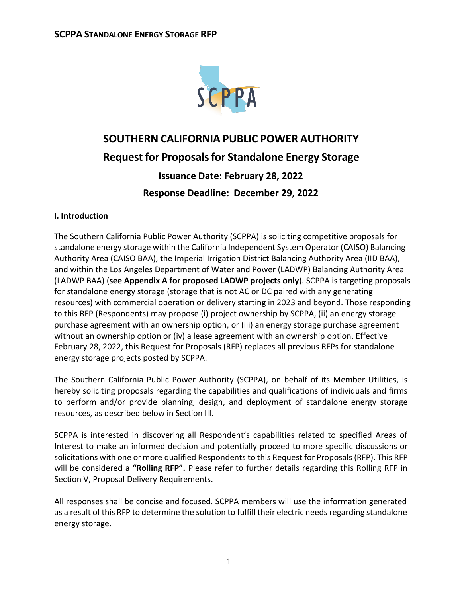

# **SOUTHERN CALIFORNIA PUBLIC POWER AUTHORITY Request for Proposals for Standalone Energy Storage Issuance Date: February 28, 2022 Response Deadline: December 29, 2022**

## **I. Introduction**

The Southern California Public Power Authority (SCPPA) is soliciting competitive proposals for standalone energy storage within the California Independent System Operator (CAISO) Balancing Authority Area (CAISO BAA), the Imperial Irrigation District Balancing Authority Area (IID BAA), and within the Los Angeles Department of Water and Power (LADWP) Balancing Authority Area (LADWP BAA) (**see Appendix A for proposed LADWP projects only**). SCPPA is targeting proposals for standalone energy storage (storage that is not AC or DC paired with any generating resources) with commercial operation or delivery starting in 2023 and beyond. Those responding to this RFP (Respondents) may propose (i) project ownership by SCPPA, (ii) an energy storage purchase agreement with an ownership option, or (iii) an energy storage purchase agreement without an ownership option or (iv) a lease agreement with an ownership option. Effective February 28, 2022, this Request for Proposals (RFP) replaces all previous RFPs for standalone energy storage projects posted by SCPPA.

The Southern California Public Power Authority (SCPPA), on behalf of its Member Utilities, is hereby soliciting proposals regarding the capabilities and qualifications of individuals and firms to perform and/or provide planning, design, and deployment of standalone energy storage resources, as described below in Section III.

SCPPA is interested in discovering all Respondent's capabilities related to specified Areas of Interest to make an informed decision and potentially proceed to more specific discussions or solicitations with one or more qualified Respondents to this Request for Proposals (RFP). This RFP will be considered a **"Rolling RFP".** Please refer to further details regarding this Rolling RFP in Section V, Proposal Delivery Requirements.

All responses shall be concise and focused. SCPPA members will use the information generated as a result of this RFP to determine the solution to fulfill their electric needs regarding standalone energy storage.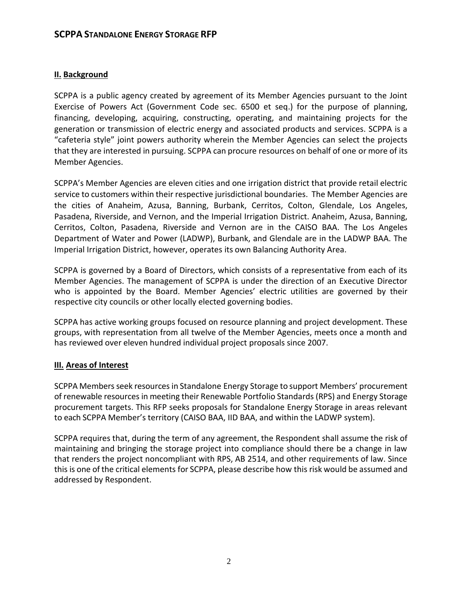### **II. Background**

SCPPA is a public agency created by agreement of its Member Agencies pursuant to the Joint Exercise of Powers Act (Government Code sec. 6500 et seq.) for the purpose of planning, financing, developing, acquiring, constructing, operating, and maintaining projects for the generation or transmission of electric energy and associated products and services. SCPPA is a "cafeteria style" joint powers authority wherein the Member Agencies can select the projects that they are interested in pursuing. SCPPA can procure resources on behalf of one or more of its Member Agencies.

SCPPA's Member Agencies are eleven cities and one irrigation district that provide retail electric service to customers within their respective jurisdictional boundaries. The Member Agencies are the cities of Anaheim, Azusa, Banning, Burbank, Cerritos, Colton, Glendale, Los Angeles, Pasadena, Riverside, and Vernon, and the Imperial Irrigation District. Anaheim, Azusa, Banning, Cerritos, Colton, Pasadena, Riverside and Vernon are in the CAISO BAA. The Los Angeles Department of Water and Power (LADWP), Burbank, and Glendale are in the LADWP BAA. The Imperial Irrigation District, however, operates its own Balancing Authority Area.

SCPPA is governed by a Board of Directors, which consists of a representative from each of its Member Agencies. The management of SCPPA is under the direction of an Executive Director who is appointed by the Board. Member Agencies' electric utilities are governed by their respective city councils or other locally elected governing bodies.

SCPPA has active working groups focused on resource planning and project development. These groups, with representation from all twelve of the Member Agencies, meets once a month and has reviewed over eleven hundred individual project proposals since 2007.

#### **III. Areas of Interest**

SCPPA Members seek resources in Standalone Energy Storage to support Members' procurement of renewable resources in meeting their Renewable Portfolio Standards (RPS) and Energy Storage procurement targets. This RFP seeks proposals for Standalone Energy Storage in areas relevant to each SCPPA Member's territory (CAISO BAA, IID BAA, and within the LADWP system).

SCPPA requires that, during the term of any agreement, the Respondent shall assume the risk of maintaining and bringing the storage project into compliance should there be a change in law that renders the project noncompliant with RPS, AB 2514, and other requirements of law. Since this is one of the critical elements for SCPPA, please describe how this risk would be assumed and addressed by Respondent.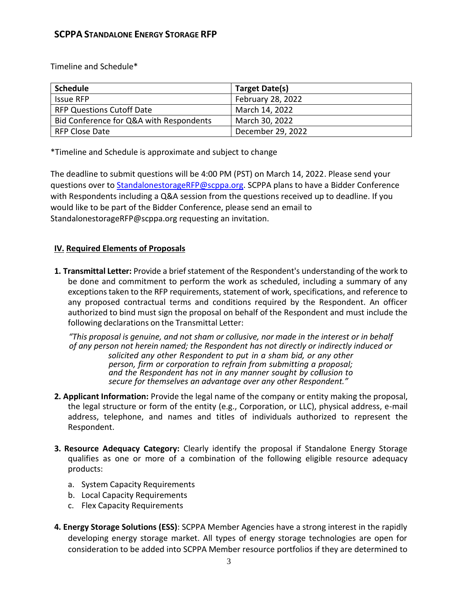Timeline and Schedule\*

| <b>Schedule</b>                         | Target Date(s)    |
|-----------------------------------------|-------------------|
| <b>Issue RFP</b>                        | February 28, 2022 |
| <b>RFP Questions Cutoff Date</b>        | March 14, 2022    |
| Bid Conference for Q&A with Respondents | March 30, 2022    |
| RFP Close Date                          | December 29, 2022 |

\*Timeline and Schedule is approximate and subject to change

The deadline to submit questions will be 4:00 PM (PST) on March 14, 2022. Please send your questions over to [StandalonestorageRFP@scppa.org.](StandalonestorageRFP@scppa.org) SCPPA plans to have a Bidder Conference with Respondents including a Q&A session from the questions received up to deadline. If you would like to be part of the Bidder Conference, please send an email to StandalonestorageRFP@scppa.org requesting an invitation.

## **IV. Required Elements of Proposals**

**1. Transmittal Letter:** Provide a brief statement of the Respondent's understanding of the work to be done and commitment to perform the work as scheduled, including a summary of any exceptions taken to the RFP requirements, statement of work, specifications, and reference to any proposed contractual terms and conditions required by the Respondent. An officer authorized to bind must sign the proposal on behalf of the Respondent and must include the following declarations on the Transmittal Letter:

*"This proposal is genuine, and not sham or collusive, nor made in the interest or in behalf of any person not herein named; the Respondent has not directly or indirectly induced or solicited any other Respondent to put in a sham bid, or any other person, firm or corporation to refrain from submitting a proposal; and the Respondent has not in any manner sought by collusion to secure for themselves an advantage over any other Respondent."*

- **2. Applicant Information:** Provide the legal name of the company or entity making the proposal, the legal structure or form of the entity (e.g., Corporation, or LLC), physical address, e-mail address, telephone, and names and titles of individuals authorized to represent the Respondent.
- **3. Resource Adequacy Category:** Clearly identify the proposal if Standalone Energy Storage qualifies as one or more of a combination of the following eligible resource adequacy products:
	- a. System Capacity Requirements
	- b. Local Capacity Requirements
	- c. Flex Capacity Requirements
- **4. Energy Storage Solutions (ESS)**: SCPPA Member Agencies have a strong interest in the rapidly developing energy storage market. All types of energy storage technologies are open for consideration to be added into SCPPA Member resource portfolios if they are determined to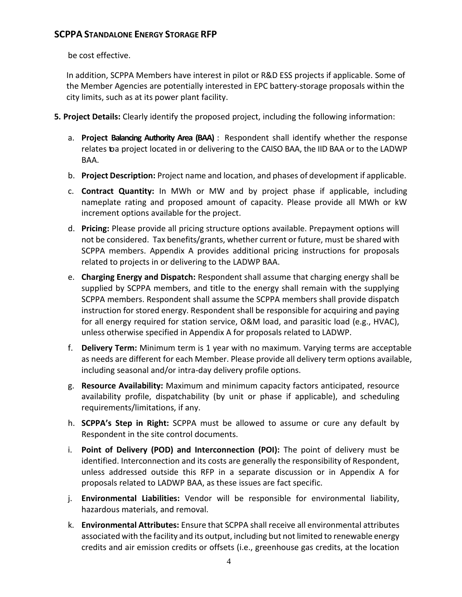be cost effective.

In addition, SCPPA Members have interest in pilot or R&D ESS projects if applicable. Some of the Member Agencies are potentially interested in EPC battery-storage proposals within the city limits, such as at its power plant facility.

- **5. Project Details:** Clearly identify the proposed project, including the following information:
	- a. **Project Balancing Authority Area (BAA)** : Respondent shall identify whether the response relates toa project located in or delivering to the CAISO BAA, the IID BAA or to the LADWP BAA.
	- b. **Project Description:** Project name and location, and phases of development if applicable.
	- c. **Contract Quantity:** In MWh or MW and by project phase if applicable, including nameplate rating and proposed amount of capacity. Please provide all MWh or kW increment options available for the project.
	- d. **Pricing:** Please provide all pricing structure options available. Prepayment options will not be considered. Tax benefits/grants, whether current orfuture, must be shared with SCPPA members. Appendix A provides additional pricing instructions for proposals related to projects in or delivering to the LADWP BAA.
	- e. **Charging Energy and Dispatch:** Respondent shall assume that charging energy shall be supplied by SCPPA members, and title to the energy shall remain with the supplying SCPPA members. Respondent shall assume the SCPPA members shall provide dispatch instruction for stored energy. Respondent shall be responsible for acquiring and paying for all energy required for station service, O&M load, and parasitic load (e.g., HVAC), unless otherwise specified in Appendix A for proposals related to LADWP.
	- f. **Delivery Term:** Minimum term is 1 year with no maximum. Varying terms are acceptable as needs are different for each Member. Please provide all delivery term options available, including seasonal and/or intra-day delivery profile options.
	- g. **Resource Availability:** Maximum and minimum capacity factors anticipated, resource availability profile, dispatchability (by unit or phase if applicable), and scheduling requirements/limitations, if any.
	- h. **SCPPA's Step in Right:** SCPPA must be allowed to assume or cure any default by Respondent in the site control documents.
	- i. **Point of Delivery (POD) and Interconnection (POI):** The point of delivery must be identified. Interconnection and its costs are generally the responsibility of Respondent, unless addressed outside this RFP in a separate discussion or in Appendix A for proposals related to LADWP BAA, as these issues are fact specific.
	- j. **Environmental Liabilities:** Vendor will be responsible for environmental liability, hazardous materials, and removal.
	- k. **Environmental Attributes:** Ensure that SCPPA shall receive all environmental attributes associated with the facility and its output, including but not limited to renewable energy credits and air emission credits or offsets (i.e., greenhouse gas credits, at the location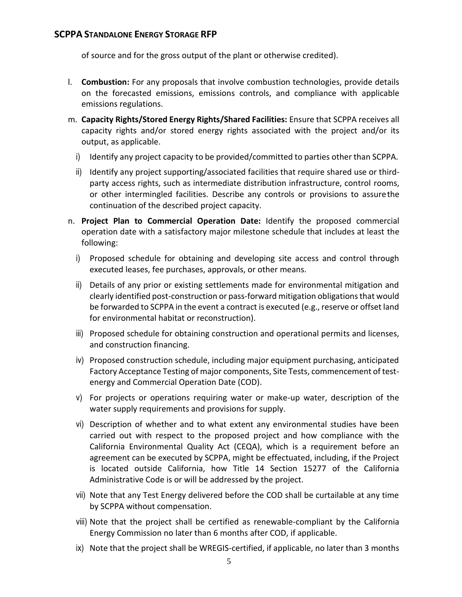of source and for the gross output of the plant or otherwise credited).

- l. **Combustion:** For any proposals that involve combustion technologies, provide details on the forecasted emissions, emissions controls, and compliance with applicable emissions regulations.
- m. **Capacity Rights/Stored Energy Rights/Shared Facilities:** Ensure that SCPPA receives all capacity rights and/or stored energy rights associated with the project and/or its output, as applicable.
	- i) Identify any project capacity to be provided/committed to parties other than SCPPA.
	- ii) Identify any project supporting/associated facilities that require shared use or thirdparty access rights, such as intermediate distribution infrastructure, control rooms, or other intermingled facilities. Describe any controls or provisions to assurethe continuation of the described project capacity.
- n. **Project Plan to Commercial Operation Date:** Identify the proposed commercial operation date with a satisfactory major milestone schedule that includes at least the following:
	- i) Proposed schedule for obtaining and developing site access and control through executed leases, fee purchases, approvals, or other means.
	- ii) Details of any prior or existing settlements made for environmental mitigation and clearly identified post-construction or pass-forward mitigation obligations that would be forwarded to SCPPA in the event a contract is executed (e.g., reserve or offset land for environmental habitat or reconstruction).
	- iii) Proposed schedule for obtaining construction and operational permits and licenses, and construction financing.
	- iv) Proposed construction schedule, including major equipment purchasing, anticipated Factory Acceptance Testing of major components, Site Tests, commencement of testenergy and Commercial Operation Date (COD).
	- v) For projects or operations requiring water or make-up water, description of the water supply requirements and provisions for supply.
	- vi) Description of whether and to what extent any environmental studies have been carried out with respect to the proposed project and how compliance with the California Environmental Quality Act (CEQA), which is a requirement before an agreement can be executed by SCPPA, might be effectuated, including, if the Project is located outside California, how Title 14 Section 15277 of the California Administrative Code is or will be addressed by the project.
	- vii) Note that any Test Energy delivered before the COD shall be curtailable at any time by SCPPA without compensation.
	- viii) Note that the project shall be certified as renewable-compliant by the California Energy Commission no later than 6 months after COD, if applicable.
	- ix) Note that the project shall be WREGIS-certified, if applicable, no later than 3 months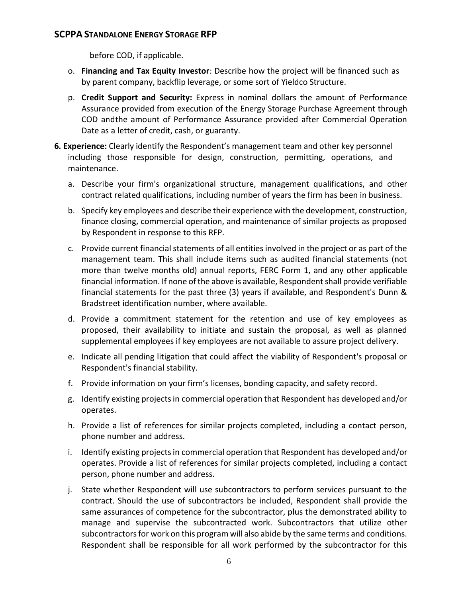before COD, if applicable.

- o. **Financing and Tax Equity Investor**: Describe how the project will be financed such as by parent company, backflip leverage, or some sort of Yieldco Structure.
- p. **Credit Support and Security:** Express in nominal dollars the amount of Performance Assurance provided from execution of the Energy Storage Purchase Agreement through COD andthe amount of Performance Assurance provided after Commercial Operation Date as a letter of credit, cash, or guaranty.
- **6. Experience:** Clearly identify the Respondent's management team and other key personnel including those responsible for design, construction, permitting, operations, and maintenance.
	- a. Describe your firm's organizational structure, management qualifications, and other contract related qualifications, including number of years the firm has been in business.
	- b. Specify key employees and describe their experience with the development, construction, finance closing, commercial operation, and maintenance of similar projects as proposed by Respondent in response to this RFP.
	- c. Provide current financial statements of all entities involved in the project or as part of the management team. This shall include items such as audited financial statements (not more than twelve months old) annual reports, FERC Form 1, and any other applicable financial information. If none of the above is available, Respondent shall provide verifiable financial statements for the past three (3) years if available, and Respondent's Dunn & Bradstreet identification number, where available.
	- d. Provide a commitment statement for the retention and use of key employees as proposed, their availability to initiate and sustain the proposal, as well as planned supplemental employees if key employees are not available to assure project delivery.
	- e. Indicate all pending litigation that could affect the viability of Respondent's proposal or Respondent's financial stability.
	- f. Provide information on your firm's licenses, bonding capacity, and safety record.
	- g. Identify existing projects in commercial operation that Respondent has developed and/or operates.
	- h. Provide a list of references for similar projects completed, including a contact person, phone number and address.
	- i. Identify existing projects in commercial operation that Respondent has developed and/or operates. Provide a list of references for similar projects completed, including a contact person, phone number and address.
	- j. State whether Respondent will use subcontractors to perform services pursuant to the contract. Should the use of subcontractors be included, Respondent shall provide the same assurances of competence for the subcontractor, plus the demonstrated ability to manage and supervise the subcontracted work. Subcontractors that utilize other subcontractors for work on this program will also abide by the same terms and conditions. Respondent shall be responsible for all work performed by the subcontractor for this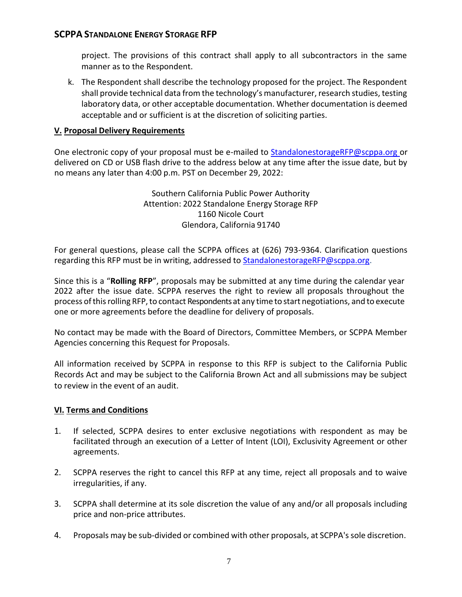project. The provisions of this contract shall apply to all subcontractors in the same manner as to the Respondent.

k. The Respondent shall describe the technology proposed for the project. The Respondent shall provide technical data from the technology's manufacturer, research studies, testing laboratory data, or other acceptable documentation. Whether documentation is deemed acceptable and or sufficient is at the discretion of soliciting parties.

#### **V. Proposal Delivery Requirements**

One electronic copy of your proposal must be e-mailed [to](mailto:to_knguyen@scppa.org) [StandalonestorageRFP@scppa.org or](mailto:StandalonestorageRFP@scppa.orgor) delivered on CD or USB flash drive to the address below at any time after the issue date, but by no means any later than 4:00 p.m. PST on December 29, 2022:

> Southern California Public Power Authority Attention: 2022 Standalone Energy Storage RFP 1160 Nicole Court Glendora, California 91740

For general questions, please call the SCPPA offices at (626) 793-9364. Clarification questions regarding this RFP must be in writing, addressed to [StandalonestorageRFP@scppa.org.](mailto:StandalonestorageRFP@scppa.org)

Since this is a "**Rolling RFP**", proposals may be submitted at any time during the calendar year 2022 after the issue date. SCPPA reserves the right to review all proposals throughout the process of this rolling RFP, to contact Respondents at any time to start negotiations, and to execute one or more agreements before the deadline for delivery of proposals.

No contact may be made with the Board of Directors, Committee Members, or SCPPA Member Agencies concerning this Request for Proposals.

All information received by SCPPA in response to this RFP is subject to the California Public Records Act and may be subject to the California Brown Act and all submissions may be subject to review in the event of an audit.

#### **VI. Terms and Conditions**

- 1. If selected, SCPPA desires to enter exclusive negotiations with respondent as may be facilitated through an execution of a Letter of Intent (LOI), Exclusivity Agreement or other agreements.
- 2. SCPPA reserves the right to cancel this RFP at any time, reject all proposals and to waive irregularities, if any.
- 3. SCPPA shall determine at its sole discretion the value of any and/or all proposals including price and non-price attributes.
- 4. Proposals may be sub-divided or combined with other proposals, at SCPPA'ssole discretion.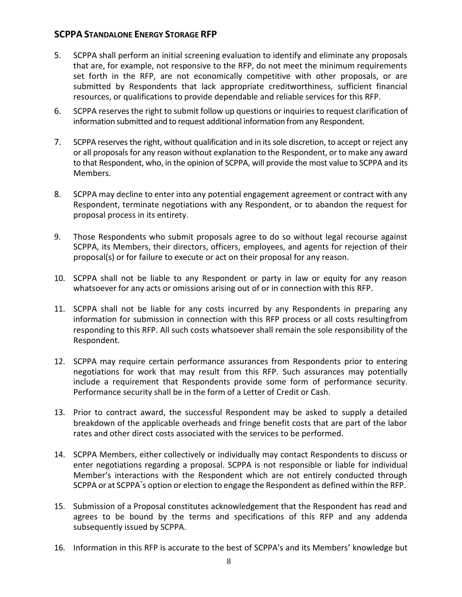- 5. SCPPA shall perform an initial screening evaluation to identify and eliminate any proposals that are, for example, not responsive to the RFP, do not meet the minimum requirements set forth in the RFP, are not economically competitive with other proposals, or are submitted by Respondents that lack appropriate creditworthiness, sufficient financial resources, or qualifications to provide dependable and reliable services for this RFP.
- 6. SCPPA reservesthe right to submit follow up questions or inquiries to request clarification of information submitted and to request additional information from any Respondent.
- 7. SCPPA reserves the right, without qualification and in itssole discretion, to accept or reject any or all proposals for any reason without explanation to the Respondent, or to make any award to that Respondent, who, in the opinion of SCPPA, will provide the most value to SCPPA and its Members.
- 8. SCPPA may decline to enter into any potential engagement agreement or contract with any Respondent, terminate negotiations with any Respondent, or to abandon the request for proposal process in its entirety.
- 9. Those Respondents who submit proposals agree to do so without legal recourse against SCPPA, its Members, their directors, officers, employees, and agents for rejection of their proposal(s) or for failure to execute or act on their proposal for any reason.
- 10. SCPPA shall not be liable to any Respondent or party in law or equity for any reason whatsoever for any acts or omissions arising out of or in connection with this RFP.
- 11. SCPPA shall not be liable for any costs incurred by any Respondents in preparing any information for submission in connection with this RFP process or all costs resultingfrom responding to this RFP. All such costs whatsoever shall remain the sole responsibility of the Respondent.
- 12. SCPPA may require certain performance assurances from Respondents prior to entering negotiations for work that may result from this RFP. Such assurances may potentially include a requirement that Respondents provide some form of performance security. Performance security shall be in the form of a Letter of Credit or Cash.
- 13. Prior to contract award, the successful Respondent may be asked to supply a detailed breakdown of the applicable overheads and fringe benefit costs that are part of the labor rates and other direct costs associated with the services to be performed.
- 14. SCPPA Members, either collectively or individually may contact Respondents to discuss or enter negotiations regarding a proposal. SCPPA is not responsible or liable for individual Member's interactions with the Respondent which are not entirely conducted through SCPPA or at SCPPA `s option or election to engage the Respondent as defined within the RFP.
- 15. Submission of a Proposal constitutes acknowledgement that the Respondent has read and agrees to be bound by the terms and specifications of this RFP and any addenda subsequently issued by SCPPA.
- 16. Information in this RFP is accurate to the best of SCPPA's and its Members' knowledge but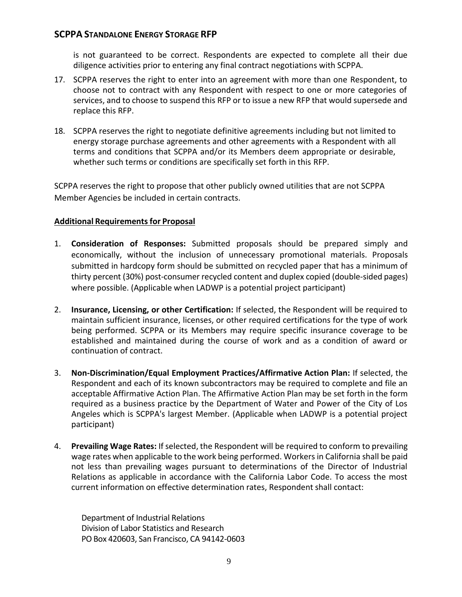is not guaranteed to be correct. Respondents are expected to complete all their due diligence activities prior to entering any final contract negotiations with SCPPA.

- 17. SCPPA reserves the right to enter into an agreement with more than one Respondent, to choose not to contract with any Respondent with respect to one or more categories of services, and to choose to suspend this RFP or to issue a new RFP that would supersede and replace this RFP.
- 18. SCPPA reserves the right to negotiate definitive agreements including but not limited to energy storage purchase agreements and other agreements with a Respondent with all terms and conditions that SCPPA and/or its Members deem appropriate or desirable, whether such terms or conditions are specifically set forth in this RFP.

SCPPA reserves the right to propose that other publicly owned utilities that are not SCPPA Member Agencies be included in certain contracts.

#### **Additional Requirementsfor Proposal**

- 1. **Consideration of Responses:** Submitted proposals should be prepared simply and economically, without the inclusion of unnecessary promotional materials. Proposals submitted in hardcopy form should be submitted on recycled paper that has a minimum of thirty percent (30%) post-consumer recycled content and duplex copied (double-sided pages) where possible. (Applicable when LADWP is a potential project participant)
- 2. **Insurance, Licensing, or other Certification:** If selected, the Respondent will be required to maintain sufficient insurance, licenses, or other required certifications for the type of work being performed. SCPPA or its Members may require specific insurance coverage to be established and maintained during the course of work and as a condition of award or continuation of contract.
- 3. **Non-Discrimination/Equal Employment Practices/Affirmative Action Plan:** If selected, the Respondent and each of its known subcontractors may be required to complete and file an acceptable Affirmative Action Plan. The Affirmative Action Plan may be set forth in the form required as a business practice by the Department of Water and Power of the City of Los Angeles which is SCPPA's largest Member. (Applicable when LADWP is a potential project participant)
- 4. **Prevailing Wage Rates:** Ifselected, the Respondent will be required to conform to prevailing wage rates when applicable to the work being performed. Workers in California shall be paid not less than prevailing wages pursuant to determinations of the Director of Industrial Relations as applicable in accordance with the California Labor Code. To access the most current information on effective determination rates, Respondent shall contact:

Department of Industrial Relations Division of Labor Statistics and Research POBox 420603, San Francisco, CA 94142-0603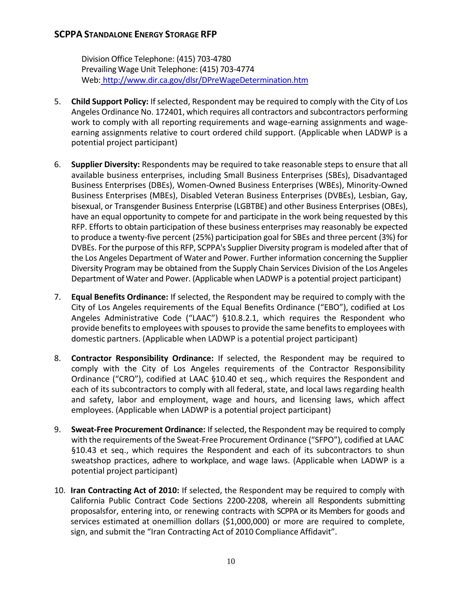Division Office Telephone: (415) 703-4780 Prevailing Wage Unit Telephone: (415) 703-4774 Web: <http://www.dir.ca.gov/dlsr/DPreWageDetermination.htm>

- 5. **Child Support Policy:** Ifselected, Respondent may be required to comply with the City of Los Angeles Ordinance No. 172401, which requires all contractors and subcontractors performing work to comply with all reporting requirements and wage-earning assignments and wageearning assignments relative to court ordered child support. (Applicable when LADWP is a potential project participant)
- 6. **Supplier Diversity:** Respondents may be required to take reasonable steps to ensure that all available business enterprises, including Small Business Enterprises (SBEs), Disadvantaged Business Enterprises (DBEs), Women-Owned Business Enterprises (WBEs), Minority-Owned Business Enterprises (MBEs), Disabled Veteran Business Enterprises (DVBEs), Lesbian, Gay, bisexual, or Transgender Business Enterprise (LGBTBE) and other Business Enterprises (OBEs), have an equal opportunity to compete for and participate in the work being requested by this RFP. Efforts to obtain participation of these business enterprises may reasonably be expected to produce a twenty-five percent (25%) participation goal for SBEs and three percent (3%) for DVBEs. For the purpose of this RFP, SCPPA's Supplier Diversity program is modeled after that of the Los Angeles Department of Water and Power. Further information concerning the Supplier Diversity Program may be obtained from the Supply Chain Services Division of the Los Angeles Department of Water and Power. (Applicable when LADWP is a potential project participant)
- 7. **Equal Benefits Ordinance:** If selected, the Respondent may be required to comply with the City of Los Angeles requirements of the Equal Benefits Ordinance ("EBO"), codified at Los Angeles Administrative Code ("LAAC") §10.8.2.1, which requires the Respondent who provide benefits to employees with spouses to provide the same benefits to employees with domestic partners. (Applicable when LADWP is a potential project participant)
- 8. **Contractor Responsibility Ordinance:** If selected, the Respondent may be required to comply with the City of Los Angeles requirements of the Contractor Responsibility Ordinance ("CRO"), codified at LAAC §10.40 et seq., which requires the Respondent and each of its subcontractors to comply with all federal, state, and local laws regarding health and safety, labor and employment, wage and hours, and licensing laws, which affect employees. (Applicable when LADWP is a potential project participant)
- 9. **Sweat-Free Procurement Ordinance:** Ifselected, the Respondent may be required to comply with the requirements ofthe Sweat-Free Procurement Ordinance ("SFPO"), codified at LAAC §10.43 et seq., which requires the Respondent and each of its subcontractors to shun sweatshop practices, adhere to workplace, and wage laws. (Applicable when LADWP is a potential project participant)
- 10. **Iran Contracting Act of 2010:** If selected, the Respondent may be required to comply with California Public Contract Code Sections 2200-2208, wherein all Respondents submitting proposalsfor, entering into, or renewing contracts with SCPPA or its Members for goods and services estimated at onemillion dollars (\$1,000,000) or more are required to complete, sign, and submit the "Iran Contracting Act of 2010 Compliance Affidavit".